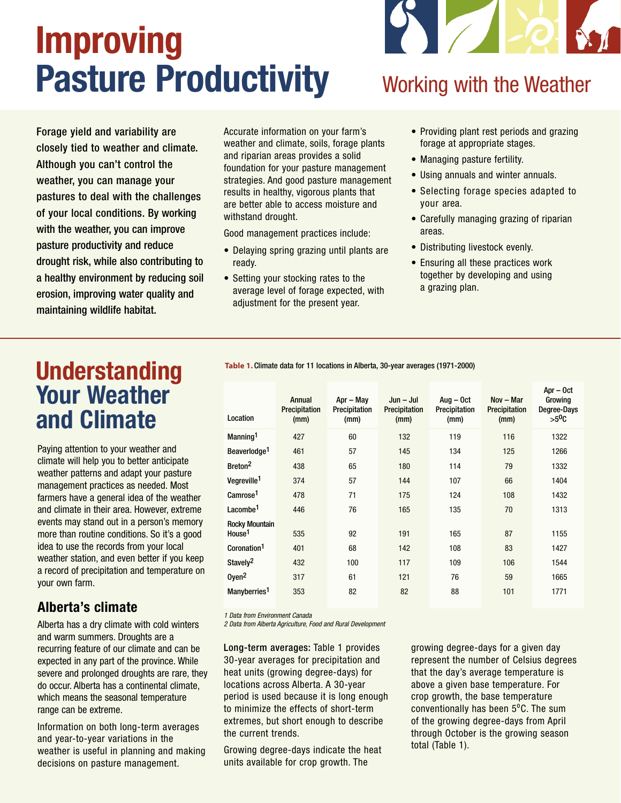# Improving Pasture Productivity

Z

#### Forage yield and variability are closely tied to weather and climate. Although you can't control the weather, you can manage your pastures to deal with the challenges of your local conditions. By working with the weather, you can improve pasture productivity and reduce drought risk, while also contributing to a healthy environment by reducing soil erosion, improving water quality and maintaining wildlife habitat.

Accurate information on your farm's weather and climate, soils, forage plants and riparian areas provides a solid foundation for your pasture management strategies. And good pasture management results in healthy, vigorous plants that are better able to access moisture and withstand drought.

Good management practices include:

- Delaying spring grazing until plants are ready.
- Setting your stocking rates to the average level of forage expected, with adjustment for the present year.

• Providing plant rest periods and grazing forage at appropriate stages.

Working with the Weather

- Managing pasture fertility.
- Using annuals and winter annuals.
- Selecting forage species adapted to your area.
- Carefully managing grazing of riparian areas.
- Distributing livestock evenly.
- Ensuring all these practices work together by developing and using a grazing plan.

### **Understanding** Your Weather and Climate

Paying attention to your weather and climate will help you to better anticipate weather patterns and adapt your pasture management practices as needed. Most farmers have a general idea of the weather and climate in their area. However, extreme events may stand out in a person's memory more than routine conditions. So it's a good idea to use the records from your local weather station, and even better if you keep a record of precipitation and temperature on your own farm.

#### Alberta's climate

Alberta has a dry climate with cold winters and warm summers. Droughts are a recurring feature of our climate and can be expected in any part of the province. While severe and prolonged droughts are rare, they do occur. Alberta has a continental climate, which means the seasonal temperature range can be extreme.

Information on both long-term averages and year-to-year variations in the weather is useful in planning and making decisions on pasture management.

**Table 1.** Climate data for 11 locations in Alberta, 30-year averages (1971-2000)

| Location                                    | Annual<br>Precipitation<br>(mm) | $Apr - May$<br>Precipitation<br>(mm) | $Jun - Jul$<br>Precipitation<br>(mm) | $Auq - Oct$<br>Precipitation<br>(mm) | $Nov - Mar$<br>Precipitation<br>(mm) | Apr - Oct<br>Growing<br>Degree-Days<br>$>5^{\circ}$ C |
|---------------------------------------------|---------------------------------|--------------------------------------|--------------------------------------|--------------------------------------|--------------------------------------|-------------------------------------------------------|
| Manning <sup>1</sup>                        | 427                             | 60                                   | 132                                  | 119                                  | 116                                  | 1322                                                  |
| Beaverlodge <sup>1</sup>                    | 461                             | 57                                   | 145                                  | 134                                  | 125                                  | 1266                                                  |
| Breton <sup>2</sup>                         | 438                             | 65                                   | 180                                  | 114                                  | 79                                   | 1332                                                  |
| Vegreville <sup>1</sup>                     | 374                             | 57                                   | 144                                  | 107                                  | 66                                   | 1404                                                  |
| Camrose <sup>1</sup>                        | 478                             | 71                                   | 175                                  | 124                                  | 108                                  | 1432                                                  |
| Lacombe <sup>1</sup>                        | 446                             | 76                                   | 165                                  | 135                                  | 70                                   | 1313                                                  |
| <b>Rocky Mountain</b><br>House <sup>1</sup> | 535                             | 92                                   | 191                                  | 165                                  | 87                                   | 1155                                                  |
| Coronation <sup>1</sup>                     | 401                             | 68                                   | 142                                  | 108                                  | 83                                   | 1427                                                  |
| Stavely <sup>2</sup>                        | 432                             | 100                                  | 117                                  | 109                                  | 106                                  | 1544                                                  |
| Oyen <sup>2</sup>                           | 317                             | 61                                   | 121                                  | 76                                   | 59                                   | 1665                                                  |
| Manyberries <sup>1</sup>                    | 353                             | 82                                   | 82                                   | 88                                   | 101                                  | 1771                                                  |
|                                             |                                 |                                      |                                      |                                      |                                      |                                                       |

1 Data from Environment Canada

2 Data from Alberta Agriculture, Food and Rural Development

Long-term averages: Table 1 provides 30-year averages for precipitation and heat units (growing degree-days) for locations across Alberta. A 30-year period is used because it is long enough to minimize the effects of short-term extremes, but short enough to describe the current trends.

Growing degree-days indicate the heat units available for crop growth. The

growing degree-days for a given day represent the number of Celsius degrees that the day's average temperature is above a given base temperature. For crop growth, the base temperature conventionally has been  $5^{\circ}$ C. The sum of the growing degree-days from April through October is the growing season total (Table 1).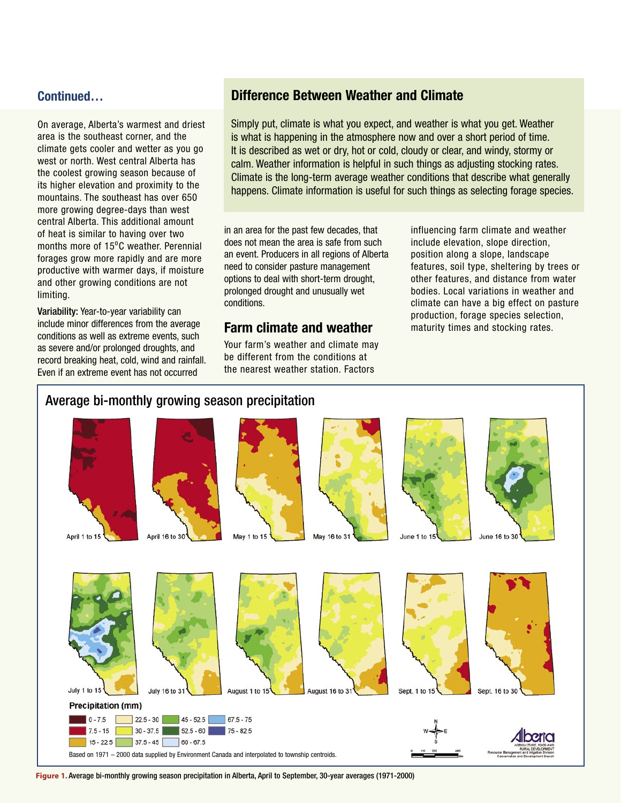#### Continued…

On average, Alberta's warmest and driest area is the southeast corner, and the climate gets cooler and wetter as you go west or north. West central Alberta has the coolest growing season because of its higher elevation and proximity to the mountains. The southeast has over 650 more growing degree-days than west central Alberta. This additional amount of heat is similar to having over two months more of 15°C weather. Perennial forages grow more rapidly and are more productive with warmer days, if moisture and other growing conditions are not limiting.

Variability: Year-to-year variability can include minor differences from the average conditions as well as extreme events, such as severe and/or prolonged droughts, and record breaking heat, cold, wind and rainfall. Even if an extreme event has not occurred

#### Difference Between Weather and Climate

Simply put, climate is what you expect, and weather is what you get. Weather is what is happening in the atmosphere now and over a short period of time. It is described as wet or dry, hot or cold, cloudy or clear, and windy, stormy or calm. Weather information is helpful in such things as adjusting stocking rates. Climate is the long-term average weather conditions that describe what generally happens. Climate information is useful for such things as selecting forage species.

in an area for the past few decades, that does not mean the area is safe from such an event. Producers in all regions of Alberta need to consider pasture management options to deal with short-term drought, prolonged drought and unusually wet conditions.

#### Farm climate and weather

Your farm's weather and climate may be different from the conditions at the nearest weather station. Factors

influencing farm climate and weather include elevation, slope direction, position along a slope, landscape features, soil type, sheltering by trees or other features, and distance from water bodies. Local variations in weather and climate can have a big effect on pasture production, forage species selection, maturity times and stocking rates.

#### Average bi-monthly growing season precipitation



**Figure 1.** Average bi-monthly growing season precipitation in Alberta, April to September, 30-year averages (1971-2000)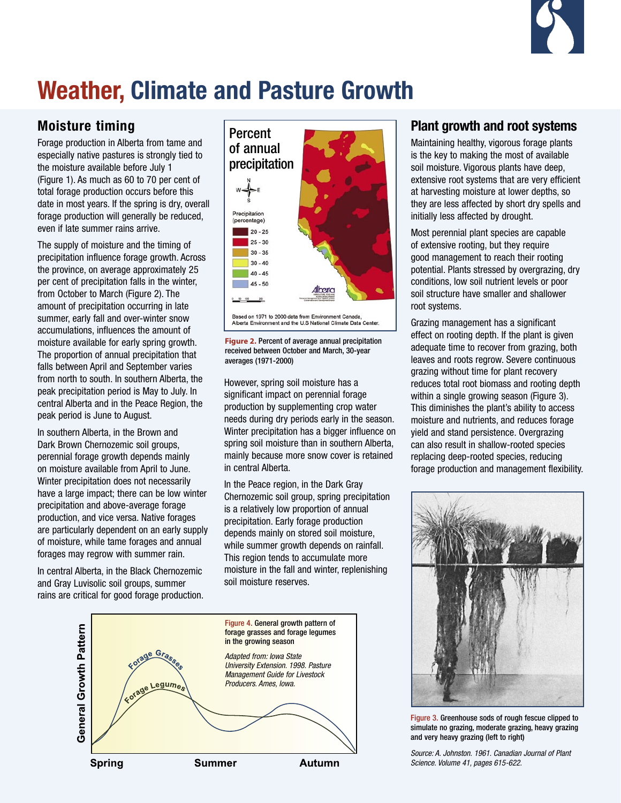

### Weather, Climate and Pasture Growth

#### Moisture timing

Forage production in Alberta from tame and especially native pastures is strongly tied to the moisture available before July 1 (Figure 1). As much as 60 to 70 per cent of total forage production occurs before this date in most years. If the spring is dry, overall forage production will generally be reduced, even if late summer rains arrive.

The supply of moisture and the timing of precipitation influence forage growth. Across the province, on average approximately 25 per cent of precipitation falls in the winter, from October to March (Figure 2). The amount of precipitation occurring in late summer, early fall and over-winter snow accumulations, influences the amount of moisture available for early spring growth. The proportion of annual precipitation that falls between April and September varies from north to south. In southern Alberta, the peak precipitation period is May to July. In central Alberta and in the Peace Region, the peak period is June to August.

In southern Alberta, in the Brown and Dark Brown Chernozemic soil groups, perennial forage growth depends mainly on moisture available from April to June. Winter precipitation does not necessarily have a large impact; there can be low winter precipitation and above-average forage production, and vice versa. Native forages are particularly dependent on an early supply of moisture, while tame forages and annual forages may regrow with summer rain.

In central Alberta, in the Black Chernozemic and Gray Luvisolic soil groups, summer rains are critical for good forage production.



**Figure 2.** Percent of average annual precipitation received between October and March, 30-year averages (1971-2000)

However, spring soil moisture has a significant impact on perennial forage production by supplementing crop water needs during dry periods early in the season. Winter precipitation has a bigger influence on spring soil moisture than in southern Alberta, mainly because more snow cover is retained in central Alberta.

In the Peace region, in the Dark Gray Chernozemic soil group, spring precipitation is a relatively low proportion of annual precipitation. Early forage production depends mainly on stored soil moisture, while summer growth depends on rainfall. This region tends to accumulate more moisture in the fall and winter, replenishing soil moisture reserves.



#### Plant growth and root systems

Maintaining healthy, vigorous forage plants is the key to making the most of available soil moisture. Vigorous plants have deep, extensive root systems that are very efficient at harvesting moisture at lower depths, so they are less affected by short dry spells and initially less affected by drought.

Most perennial plant species are capable of extensive rooting, but they require good management to reach their rooting potential. Plants stressed by overgrazing, dry conditions, low soil nutrient levels or poor soil structure have smaller and shallower root systems.

Grazing management has a significant effect on rooting depth. If the plant is given adequate time to recover from grazing, both leaves and roots regrow. Severe continuous grazing without time for plant recovery reduces total root biomass and rooting depth within a single growing season (Figure 3). This diminishes the plant's ability to access moisture and nutrients, and reduces forage yield and stand persistence. Overgrazing can also result in shallow-rooted species replacing deep-rooted species, reducing forage production and management flexibility.



Figure 3. Greenhouse sods of rough fescue clipped to simulate no grazing, moderate grazing, heavy grazing and very heavy grazing (left to right)

Source: A. Johnston. 1961. Canadian Journal of Plant Science. Volume 41, pages 615-622.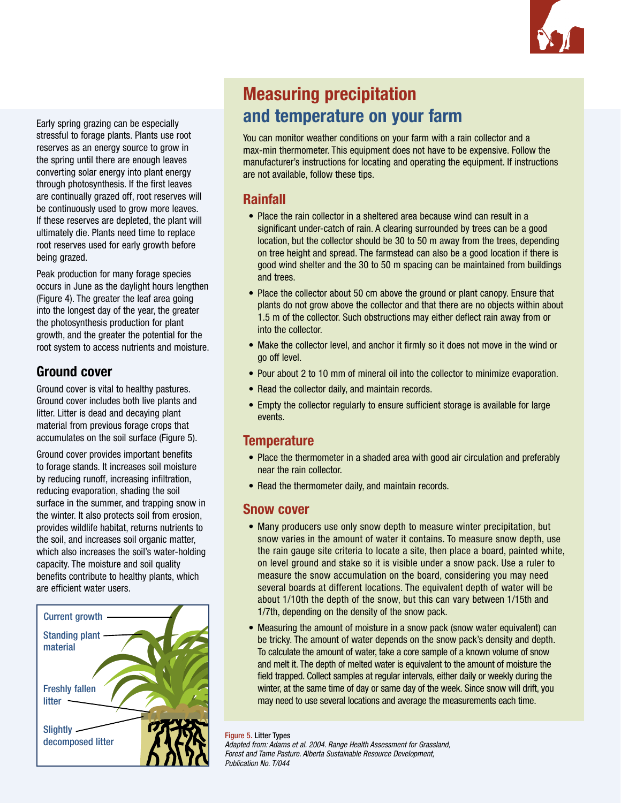

Early spring grazing can be especially stressful to forage plants. Plants use root reserves as an energy source to grow in the spring until there are enough leaves converting solar energy into plant energy through photosynthesis. If the first leaves are continually grazed off, root reserves will be continuously used to grow more leaves. If these reserves are depleted, the plant will ultimately die. Plants need time to replace root reserves used for early growth before being grazed.

Peak production for many forage species occurs in June as the daylight hours lengthen (Figure 4). The greater the leaf area going into the longest day of the year, the greater the photosynthesis production for plant growth, and the greater the potential for the root system to access nutrients and moisture.

#### Ground cover

Ground cover is vital to healthy pastures. Ground cover includes both live plants and litter. Litter is dead and decaying plant material from previous forage crops that accumulates on the soil surface (Figure 5).

Ground cover provides important benefits to forage stands. It increases soil moisture by reducing runoff, increasing infiltration, reducing evaporation, shading the soil surface in the summer, and trapping snow in the winter. It also protects soil from erosion, provides wildlife habitat, returns nutrients to the soil, and increases soil organic matter, which also increases the soil's water-holding capacity. The moisture and soil quality benefits contribute to healthy plants, which are efficient water users.



### Measuring precipitation and temperature on your farm

You can monitor weather conditions on your farm with a rain collector and a max-min thermometer. This equipment does not have to be expensive. Follow the manufacturer's instructions for locating and operating the equipment. If instructions are not available, follow these tips.

#### Rainfall

- Place the rain collector in a sheltered area because wind can result in a significant under-catch of rain. A clearing surrounded by trees can be a good location, but the collector should be 30 to 50 m away from the trees, depending on tree height and spread. The farmstead can also be a good location if there is good wind shelter and the 30 to 50 m spacing can be maintained from buildings and trees.
- Place the collector about 50 cm above the ground or plant canopy. Ensure that plants do not grow above the collector and that there are no objects within about 1.5 m of the collector. Such obstructions may either deflect rain away from or into the collector.
- Make the collector level, and anchor it firmly so it does not move in the wind or go off level.
- Pour about 2 to 10 mm of mineral oil into the collector to minimize evaporation.
- Read the collector daily, and maintain records.
- Empty the collector regularly to ensure sufficient storage is available for large events.

#### **Temperature**

- Place the thermometer in a shaded area with good air circulation and preferably near the rain collector.
- Read the thermometer daily, and maintain records.

#### Snow cover

- Many producers use only snow depth to measure winter precipitation, but snow varies in the amount of water it contains. To measure snow depth, use the rain gauge site criteria to locate a site, then place a board, painted white, on level ground and stake so it is visible under a snow pack. Use a ruler to measure the snow accumulation on the board, considering you may need several boards at different locations. The equivalent depth of water will be about 1/10th the depth of the snow, but this can vary between 1/15th and 1/7th, depending on the density of the snow pack.
- Measuring the amount of moisture in a snow pack (snow water equivalent) can be tricky. The amount of water depends on the snow pack's density and depth. To calculate the amount of water, take a core sample of a known volume of snow and melt it. The depth of melted water is equivalent to the amount of moisture the field trapped. Collect samples at regular intervals, either daily or weekly during the winter, at the same time of day or same day of the week. Since snow will drift, you may need to use several locations and average the measurements each time.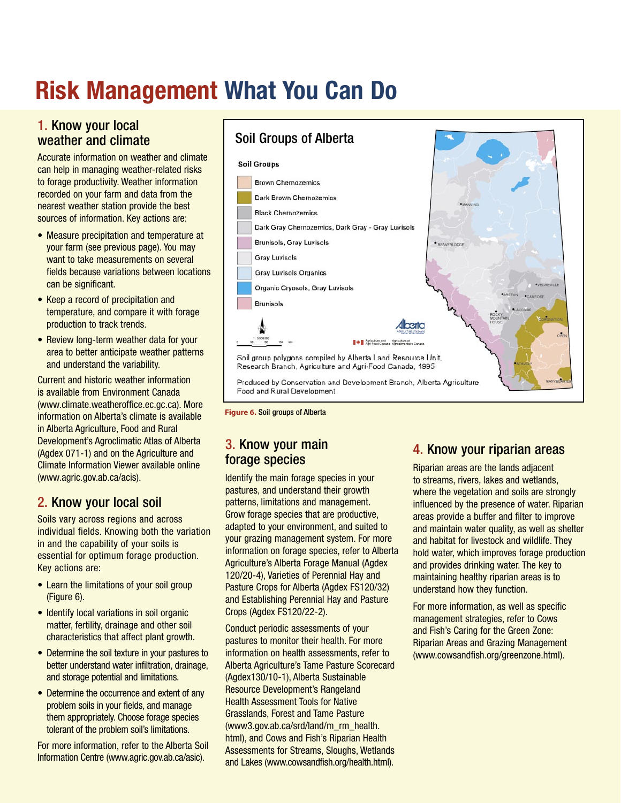## Risk Management What You Can Do

#### 1. Know your local weather and climate

Accurate information on weather and climate can help in managing weather-related risks to forage productivity. Weather information recorded on your farm and data from the nearest weather station provide the best sources of information. Key actions are:

- Measure precipitation and temperature at your farm (see previous page). You may want to take measurements on several fields because variations between locations can be significant.
- Keep a record of precipitation and temperature, and compare it with forage production to track trends.
- Review long-term weather data for your area to better anticipate weather patterns and understand the variability.

Current and historic weather information is available from Environment Canada (www.climate.weatheroffice.ec.gc.ca). More information on Alberta's climate is available in Alberta Agriculture, Food and Rural Development's Agroclimatic Atlas of Alberta (Agdex 071-1) and on the Agriculture and Climate Information Viewer available online (www.agric.gov.ab.ca/acis).

#### 2. Know your local soil

Soils vary across regions and across individual fields. Knowing both the variation in and the capability of your soils is essential for optimum forage production. Key actions are:

- Learn the limitations of your soil group (Figure 6).
- Identify local variations in soil organic matter, fertility, drainage and other soil characteristics that affect plant growth.
- Determine the soil texture in your pastures to better understand water infiltration, drainage, and storage potential and limitations.
- Determine the occurrence and extent of any problem soils in your fields, and manage them appropriately. Choose forage species tolerant of the problem soil's limitations.

For more information, refer to the Alberta Soil Information Centre (www.agric.gov.ab.ca/asic).

#### Soil Groups of Alberta

#### **Soil Groups**



**Figure 6.** Soil groups of Alberta

#### 3. Know your main forage species

Identify the main forage species in your pastures, and understand their growth patterns, limitations and management. Grow forage species that are productive, adapted to your environment, and suited to your grazing management system. For more information on forage species, refer to Alberta Agriculture's Alberta Forage Manual (Agdex 120/20-4), Varieties of Perennial Hay and Pasture Crops for Alberta (Agdex FS120/32) and Establishing Perennial Hay and Pasture Crops (Agdex FS120/22-2).

Conduct periodic assessments of your pastures to monitor their health. For more information on health assessments, refer to Alberta Agriculture's Tame Pasture Scorecard (Agdex130/10-1), Alberta Sustainable Resource Development's Rangeland Health Assessment Tools for Native Grasslands, Forest and Tame Pasture (www3.gov.ab.ca/srd/land/m\_rm\_health. html), and Cows and Fish's Riparian Health Assessments for Streams, Sloughs, Wetlands and Lakes (www.cowsandfish.org/health.html).

#### 4. Know your riparian areas

Riparian areas are the lands adjacent to streams, rivers, lakes and wetlands, where the vegetation and soils are strongly influenced by the presence of water. Riparian areas provide a buffer and filter to improve and maintain water quality, as well as shelter and habitat for livestock and wildlife. They hold water, which improves forage production and provides drinking water. The key to maintaining healthy riparian areas is to understand how they function.

For more information, as well as specific management strategies, refer to Cows and Fish's Caring for the Green Zone: Riparian Areas and Grazing Management (www.cowsandfish.org/greenzone.html).